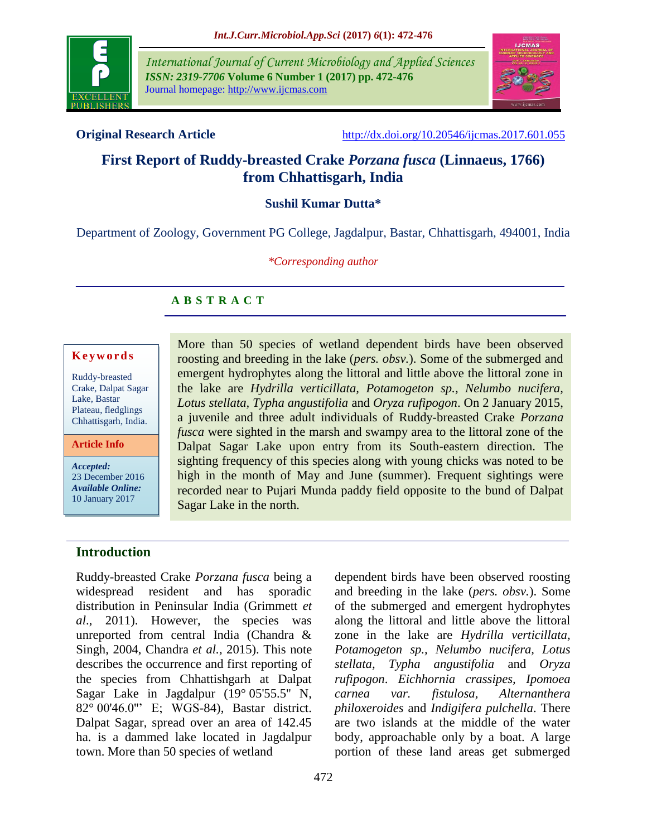

*International Journal of Current Microbiology and Applied Sciences ISSN: 2319-7706* **Volume 6 Number 1 (2017) pp. 472-476** Journal homepage: http://www.ijcmas.com



**Original Research Article** <http://dx.doi.org/10.20546/ijcmas.2017.601.055>

# **First Report of Ruddy-breasted Crake** *Porzana fusca* **(Linnaeus, 1766) from Chhattisgarh, India**

# **Sushil Kumar Dutta\***

Department of Zoology, Government PG College, Jagdalpur, Bastar, Chhattisgarh, 494001, India

### *\*Corresponding author*

# **A B S T R A C T**

#### **K e y w o r d s**

Ruddy-breasted Crake, Dalpat Sagar Lake*,* Bastar Plateau, fledglings Chhattisgarh, India.

**Article Info**

*Accepted:*  23 December 2016 *Available Online:* 10 January 2017

More than 50 species of wetland dependent birds have been observed roosting and breeding in the lake (*pers. obsv.*). Some of the submerged and emergent hydrophytes along the littoral and little above the littoral zone in the lake are *Hydrilla verticillata, Potamogeton sp., Nelumbo nucifera, Lotus stellata, Typha angustifolia* and *Oryza rufipogon*. On 2 January 2015, a juvenile and three adult individuals of Ruddy-breasted Crake *Porzana fusca* were sighted in the marsh and swampy area to the littoral zone of the Dalpat Sagar Lake upon entry from its South-eastern direction. The sighting frequency of this species along with young chicks was noted to be high in the month of May and June (summer). Frequent sightings were recorded near to Pujari Munda paddy field opposite to the bund of Dalpat Sagar Lake in the north.

## **Introduction**

Ruddy-breasted Crake *Porzana fusca* being a widespread resident and has sporadic distribution in Peninsular India (Grimmett *et al*., 2011). However, the species was unreported from central India (Chandra & Singh, 2004, Chandra *et al.,* 2015). This note describes the occurrence and first reporting of the species from Chhattishgarh at Dalpat Sagar Lake in Jagdalpur (19° 05'55.5'' N, 82° 00'46.0''' E; WGS-84), Bastar district. Dalpat Sagar, spread over an area of 142.45 ha. is a dammed lake located in Jagdalpur town. More than 50 species of wetland

dependent birds have been observed roosting and breeding in the lake (*pers. obsv.*). Some of the submerged and emergent hydrophytes along the littoral and little above the littoral zone in the lake are *Hydrilla verticillata, Potamogeton sp., Nelumbo nucifera, Lotus stellata, Typha angustifolia* and *Oryza rufipogon*. *Eichhornia crassipes, Ipomoea carnea var. fistulosa, Alternanthera philoxeroides* and *Indigifera pulchella*. There are two islands at the middle of the water body, approachable only by a boat. A large portion of these land areas get submerged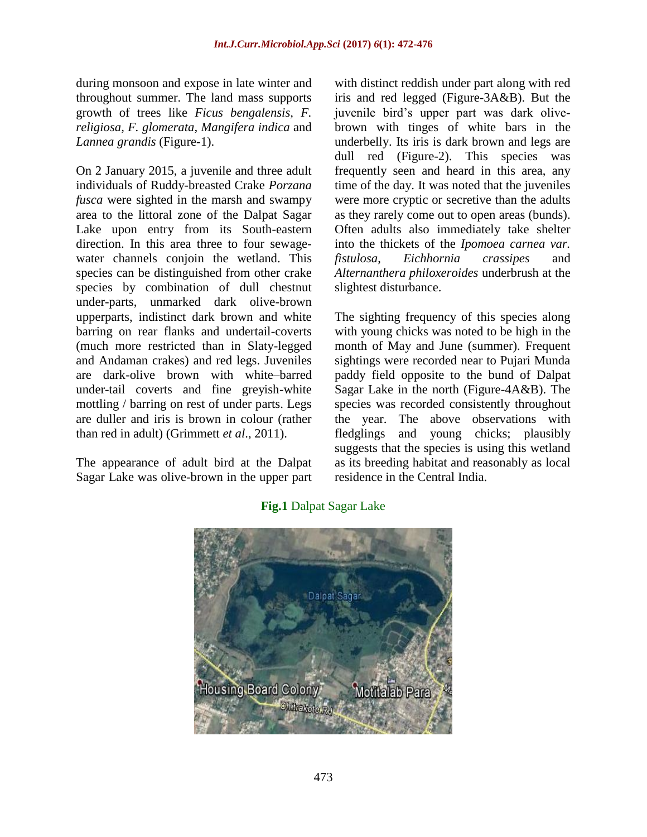during monsoon and expose in late winter and throughout summer. The land mass supports growth of trees like *Ficus bengalensis, F. religiosa, F. glomerata, Mangifera indica* and *Lannea grandis* (Figure-1).

On 2 January 2015, a juvenile and three adult individuals of Ruddy-breasted Crake *Porzana fusca* were sighted in the marsh and swampy area to the littoral zone of the Dalpat Sagar Lake upon entry from its South-eastern direction. In this area three to four sewagewater channels conjoin the wetland. This species can be distinguished from other crake species by combination of dull chestnut under-parts, unmarked dark olive-brown upperparts, indistinct dark brown and white barring on rear flanks and undertail-coverts (much more restricted than in Slaty-legged and Andaman crakes) and red legs. Juveniles are dark-olive brown with white–barred under-tail coverts and fine greyish-white mottling / barring on rest of under parts. Legs are duller and iris is brown in colour (rather than red in adult) (Grimmett *et al*., 2011).

The appearance of adult bird at the Dalpat Sagar Lake was olive-brown in the upper part with distinct reddish under part along with red iris and red legged (Figure-3A&B). But the juvenile bird's upper part was dark olivebrown with tinges of white bars in the underbelly. Its iris is dark brown and legs are dull red (Figure-2). This species was frequently seen and heard in this area, any time of the day. It was noted that the juveniles were more cryptic or secretive than the adults as they rarely come out to open areas (bunds). Often adults also immediately take shelter into the thickets of the *Ipomoea carnea var. fistulosa*, *Eichhornia crassipes* and *Alternanthera philoxeroides* underbrush at the slightest disturbance.

The sighting frequency of this species along with young chicks was noted to be high in the month of May and June (summer). Frequent sightings were recorded near to Pujari Munda paddy field opposite to the bund of Dalpat Sagar Lake in the north (Figure-4A&B). The species was recorded consistently throughout the year. The above observations with fledglings and young chicks; plausibly suggests that the species is using this wetland as its breeding habitat and reasonably as local residence in the Central India.



**Fig.1** Dalpat Sagar Lake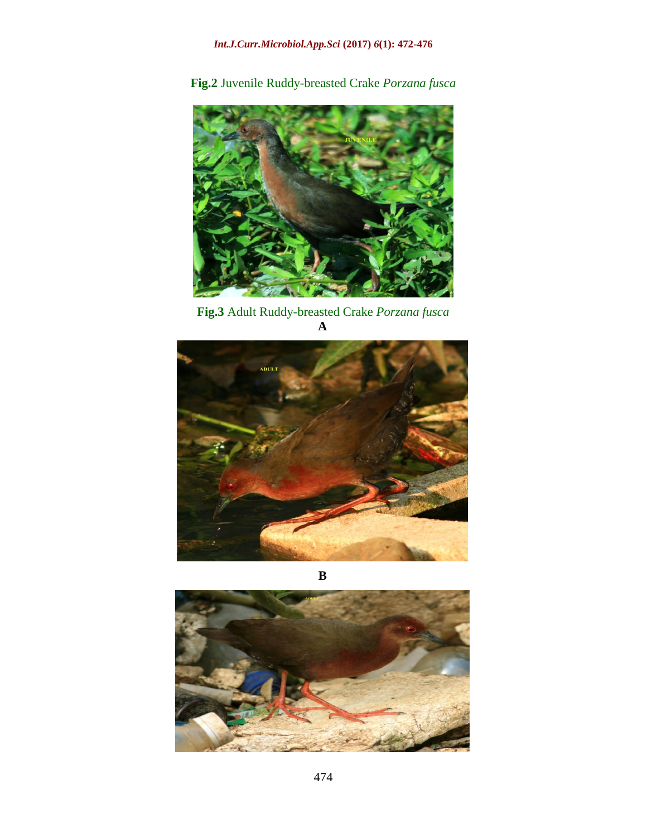**Fig.2** Juvenile Ruddy-breasted Crake *Porzana fusca*



**Fig.3** Adult Ruddy-breasted Crake *Porzana fusca*



**B**

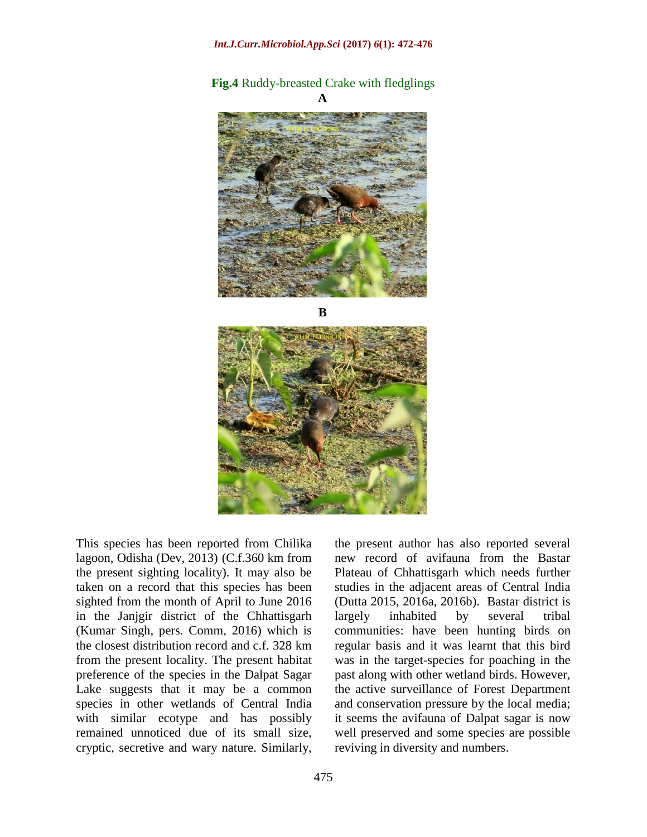# **Fig.4** Ruddy-breasted Crake with fledglings



**B**



This species has been reported from Chilika lagoon, Odisha (Dev, 2013) (C.f.360 km from the present sighting locality). It may also be taken on a record that this species has been sighted from the month of April to June 2016 in the Janjgir district of the Chhattisgarh (Kumar Singh, pers. Comm, 2016) which is the closest distribution record and c.f. 328 km from the present locality. The present habitat preference of the species in the Dalpat Sagar Lake suggests that it may be a common species in other wetlands of Central India with similar ecotype and has possibly remained unnoticed due of its small size, cryptic, secretive and wary nature. Similarly, the present author has also reported several new record of avifauna from the Bastar Plateau of Chhattisgarh which needs further studies in the adjacent areas of Central India (Dutta 2015, 2016a, 2016b). Bastar district is largely inhabited by several tribal communities: have been hunting birds on regular basis and it was learnt that this bird was in the target-species for poaching in the past along with other wetland birds. However, the active surveillance of Forest Department and conservation pressure by the local media; it seems the avifauna of Dalpat sagar is now well preserved and some species are possible reviving in diversity and numbers.